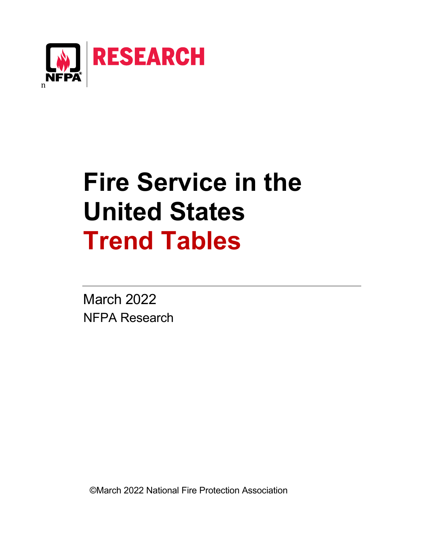

# **Fire Service in the United States Trend Tables**

March 2022 NFPA Research

©March 2022 National Fire Protection Association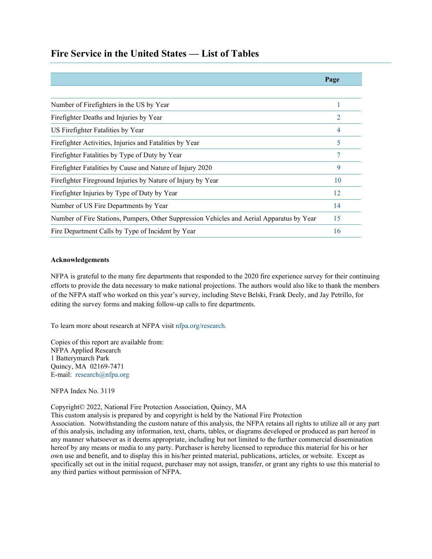|                                                                                           | Page           |
|-------------------------------------------------------------------------------------------|----------------|
|                                                                                           |                |
| Number of Firefighters in the US by Year                                                  |                |
| Firefighter Deaths and Injuries by Year                                                   | $\mathfrak{D}$ |
| US Firefighter Fatalities by Year                                                         | 4              |
| Firefighter Activities, Injuries and Fatalities by Year                                   | 5              |
| Firefighter Fatalities by Type of Duty by Year                                            |                |
| Firefighter Fatalities by Cause and Nature of Injury 2020                                 | 9              |
| Firefighter Fireground Injuries by Nature of Injury by Year                               | 10             |
| Fire fighter Injuries by Type of Duty by Year                                             | 12             |
| Number of US Fire Departments by Year                                                     | 14             |
| Number of Fire Stations, Pumpers, Other Suppression Vehicles and Aerial Apparatus by Year | 15             |
| Fire Department Calls by Type of Incident by Year                                         | 16             |

# **Fire Service in the United States — List of Tables**

#### **Acknowledgements**

NFPA is grateful to the many fire departments that responded to the 2020 fire experience survey for their continuing efforts to provide the data necessary to make national projections. The authors would also like to thank the members of the NFPA staff who worked on this year's survey, including Steve Belski, Frank Deely, and Jay Petrillo, for editing the survey forms and making follow-up calls to fire departments.

To learn more about research at NFPA visit [nfpa.org/research.](http://www.nfpa.org/research)

Copies of this report are available from: NFPA Applied Research 1 Batterymarch Park Quincy, MA 02169-7471 E-mail: [research@nfpa.org](mailto:research@nfpa.org)

NFPA Index No. 3119

Copyright© 2022, National Fire Protection Association, Quincy, MA

This custom analysis is prepared by and copyright is held by the National Fire Protection Association. Notwithstanding the custom nature of this analysis, the NFPA retains all rights to utilize all or any part of this analysis, including any information, text, charts, tables, or diagrams developed or produced as part hereof in any manner whatsoever as it deems appropriate, including but not limited to the further commercial dissemination hereof by any means or media to any party. Purchaser is hereby licensed to reproduce this material for his or her own use and benefit, and to display this in his/her printed material, publications, articles, or website. Except as specifically set out in the initial request, purchaser may not assign, transfer, or grant any rights to use this material to any third parties without permission of NFPA.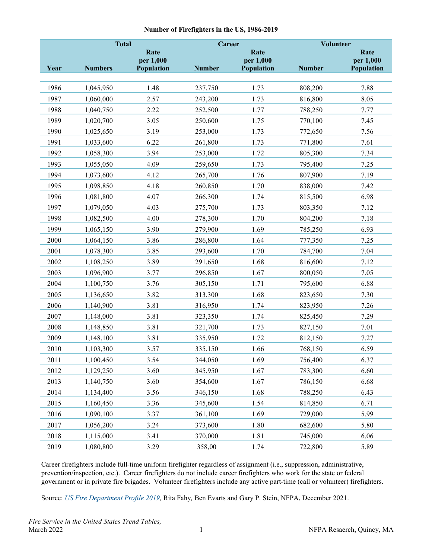#### **Number of Firefighters in the US, 1986-2019**

<span id="page-2-0"></span>

|      | <b>Total</b>   |                         | Career        |                         | Volunteer     |                         |
|------|----------------|-------------------------|---------------|-------------------------|---------------|-------------------------|
|      |                | Rate                    |               | Rate                    |               | Rate                    |
| Year | <b>Numbers</b> | per 1,000<br>Population | <b>Number</b> | per 1,000<br>Population | <b>Number</b> | per 1,000<br>Population |
|      |                |                         |               |                         |               |                         |
| 1986 | 1,045,950      | 1.48                    | 237,750       | 1.73                    | 808,200       | 7.88                    |
| 1987 | 1,060,000      | 2.57                    | 243,200       | 1.73                    | 816,800       | 8.05                    |
| 1988 | 1,040,750      | 2.22                    | 252,500       | 1.77                    | 788,250       | 7.77                    |
| 1989 | 1,020,700      | 3.05                    | 250,600       | 1.75                    | 770,100       | 7.45                    |
| 1990 | 1,025,650      | 3.19                    | 253,000       | 1.73                    | 772,650       | 7.56                    |
| 1991 | 1,033,600      | 6.22                    | 261,800       | 1.73                    | 771,800       | 7.61                    |
| 1992 | 1,058,300      | 3.94                    | 253,000       | 1.72                    | 805,300       | 7.34                    |
| 1993 | 1,055,050      | 4.09                    | 259,650       | 1.73                    | 795,400       | 7.25                    |
| 1994 | 1,073,600      | 4.12                    | 265,700       | 1.76                    | 807,900       | 7.19                    |
| 1995 | 1,098,850      | 4.18                    | 260,850       | 1.70                    | 838,000       | 7.42                    |
| 1996 | 1,081,800      | 4.07                    | 266,300       | 1.74                    | 815,500       | 6.98                    |
| 1997 | 1,079,050      | 4.03                    | 275,700       | 1.73                    | 803,350       | 7.12                    |
| 1998 | 1,082,500      | 4.00                    | 278,300       | 1.70                    | 804,200       | 7.18                    |
| 1999 | 1,065,150      | 3.90                    | 279,900       | 1.69                    | 785,250       | 6.93                    |
| 2000 | 1,064,150      | 3.86                    | 286,800       | 1.64                    | 777,350       | 7.25                    |
| 2001 | 1,078,300      | 3.85                    | 293,600       | 1.70                    | 784,700       | 7.04                    |
| 2002 | 1,108,250      | 3.89                    | 291,650       | 1.68                    | 816,600       | 7.12                    |
| 2003 | 1,096,900      | 3.77                    | 296,850       | 1.67                    | 800,050       | 7.05                    |
| 2004 | 1,100,750      | 3.76                    | 305,150       | 1.71                    | 795,600       | 6.88                    |
| 2005 | 1,136,650      | 3.82                    | 313,300       | 1.68                    | 823,650       | 7.30                    |
| 2006 | 1,140,900      | 3.81                    | 316,950       | 1.74                    | 823,950       | 7.26                    |
| 2007 | 1,148,000      | 3.81                    | 323,350       | 1.74                    | 825,450       | 7.29                    |
| 2008 | 1,148,850      | 3.81                    | 321,700       | 1.73                    | 827,150       | 7.01                    |
| 2009 | 1,148,100      | 3.81                    | 335,950       | 1.72                    | 812,150       | 7.27                    |
| 2010 | 1,103,300      | 3.57                    | 335,150       | 1.66                    | 768,150       | 6.59                    |
| 2011 | 1,100,450      | 3.54                    | 344,050       | 1.69                    | 756,400       | 6.37                    |
| 2012 | 1,129,250      | 3.60                    | 345,950       | 1.67                    | 783,300       | 6.60                    |
| 2013 | 1,140,750      | 3.60                    | 354,600       | 1.67                    | 786,150       | 6.68                    |
| 2014 | 1,134,400      | 3.56                    | 346,150       | 1.68                    | 788,250       | 6.43                    |
| 2015 | 1,160,450      | 3.36                    | 345,600       | 1.54                    | 814,850       | 6.71                    |
| 2016 | 1,090,100      | 3.37                    | 361,100       | 1.69                    | 729,000       | 5.99                    |
| 2017 | 1,056,200      | 3.24                    | 373,600       | 1.80                    | 682,600       | 5.80                    |
| 2018 | 1,115,000      | 3.41                    | 370,000       | 1.81                    | 745,000       | 6.06                    |
| 2019 | 1,080,800      | 3.29                    | 358,00        | 1.74                    | 722,800       | 5.89                    |

Career firefighters include full-time uniform firefighter regardless of assignment (i.e., suppression, administrative, prevention/inspection, etc.). Career firefighters do not include career firefighters who work for the state or federal government or in private fire brigades. Volunteer firefighters include any active part-time (call or volunteer) firefighters.

Source: *US Fire Department Profile 2019*, Rita Fahy, Ben Evarts and Gary P. Stein, NFPA, December 2021.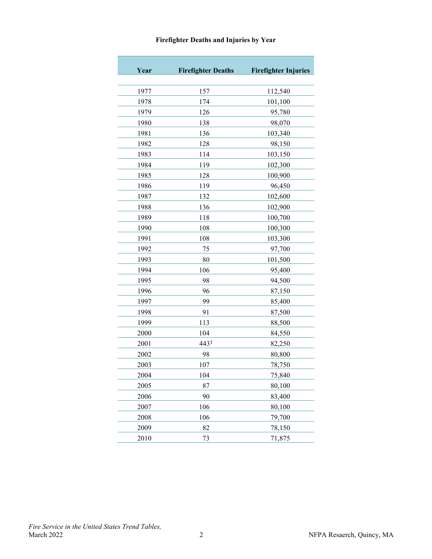<span id="page-3-0"></span>

| Year | <b>Firefighter Deaths</b> | <b>Firefighter Injuries</b> |
|------|---------------------------|-----------------------------|
| 1977 | 157                       | 112,540                     |
| 1978 | 174                       | 101,100                     |
| 1979 | 126                       | 95,780                      |
| 1980 | 138                       | 98,070                      |
| 1981 | 136                       | 103,340                     |
| 1982 | 128                       | 98,150                      |
| 1983 | 114                       | 103,150                     |
| 1984 | 119                       | 102,300                     |
| 1985 | 128                       | 100,900                     |
| 1986 | 119                       | 96,450                      |
| 1987 | 132                       | 102,600                     |
| 1988 | 136                       | 102,900                     |
| 1989 | 118                       | 100,700                     |
| 1990 | 108                       | 100,300                     |
| 1991 | 108                       | 103,300                     |
| 1992 | 75                        | 97,700                      |
| 1993 | 80                        | 101,500                     |
| 1994 | 106                       | 95,400                      |
| 1995 | 98                        | 94,500                      |
| 1996 | 96                        | 87,150                      |
| 1997 | 99                        | 85,400                      |
| 1998 | 91                        | 87,500                      |
| 1999 | 113                       | 88,500                      |
| 2000 | 104                       | 84,550                      |
| 2001 | 443 <sup>1</sup>          | 82,250                      |
| 2002 | 98                        | 80,800                      |
| 2003 | 107                       | 78,750                      |
| 2004 | 104                       | 75,840                      |
| 2005 | 87                        | 80,100                      |
| 2006 | 90                        | 83,400                      |
| 2007 | 106                       | 80,100                      |
| 2008 | 106                       | 79,700                      |
| 2009 | 82                        | 78,150                      |
| 2010 | 73                        | 71,875                      |

# **Firefighter Deaths and Injuries by Year**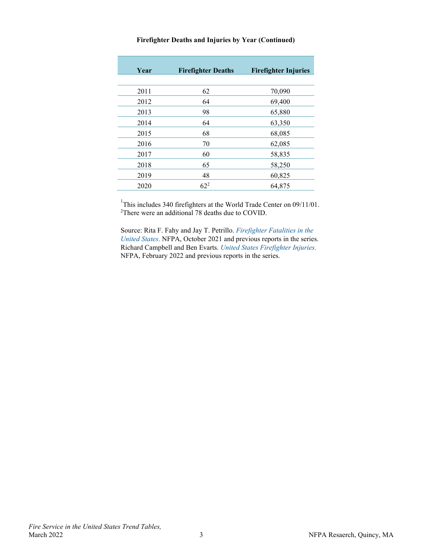| Year | <b>Firefighter Deaths</b> | <b>Firefighter Injuries</b> |
|------|---------------------------|-----------------------------|
| 2011 | 62                        | 70,090                      |
| 2012 | 64                        | 69,400                      |
| 2013 | 98                        | 65,880                      |
| 2014 | 64                        | 63,350                      |
| 2015 | 68                        | 68,085                      |
| 2016 | 70                        | 62,085                      |
| 2017 | 60                        | 58,835                      |
| 2018 | 65                        | 58,250                      |
| 2019 | 48                        | 60,825                      |
| 2020 | $62^{2}$                  | 64,875                      |

#### **Firefighter Deaths and Injuries by Year (Continued)**

<sup>1</sup>This includes 340 firefighters at the World Trade Center on 09/11/01.<br><sup>2</sup>There were an additional 78 deaths due to COVID.

Source: Rita F. Fahy and Jay T. Petrillo. *[Firefighter Fatalities in the](https://www.nfpa.org/News-and-Research/Data-research-and-tools/Emergency-Responders/Firefighter-fatalities-in-the-United-States)  [United States](https://www.nfpa.org/News-and-Research/Data-research-and-tools/Emergency-Responders/Firefighter-fatalities-in-the-United-States)*. NFPA, October 2021 and previous reports in the series. Richard Campbell and Ben Evarts. *[United States Firefighter Injuries](https://www.nfpa.org/News-and-Research/Data-research-and-tools/Emergency-Responders/Firefighter-injuries-in-the-United-States)*. NFPA, February 2022 and previous reports in the series.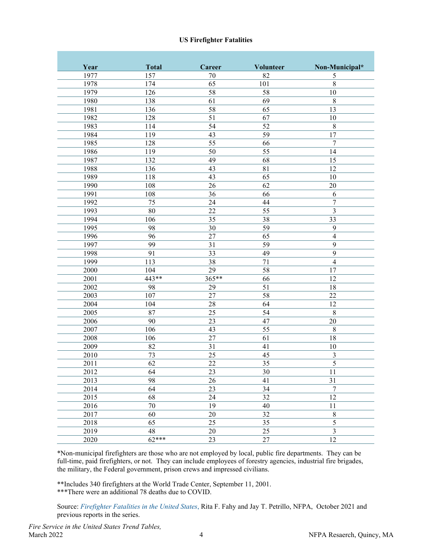#### **US Firefighter Fatalities**

<span id="page-5-0"></span>

| Year              | <b>Total</b>    | Career          | <b>Volunteer</b> | Non-Municipal*           |
|-------------------|-----------------|-----------------|------------------|--------------------------|
| 1977              | 157             | 70              | 82               | 5                        |
| 1978              | 174             | 65              | 101              | 8                        |
| 1979              | 126             | 58              | 58               | 10                       |
| 1980              | 138             | 61              | 69               | 8                        |
| 1981              | 136             | 58              | $\overline{65}$  | $\overline{13}$          |
| 1982              | 128             | 51              | 67               | 10                       |
| 1983              | 114             | 54              | 52               | 8                        |
| 1984              | 119             | 43              | 59               | $\overline{17}$          |
| 1985              | 128             | $\overline{55}$ | 66               | $\overline{7}$           |
| 1986              | 119             | 50              | 55               | 14                       |
| 1987              | 132             | 49              | 68               | 15                       |
| 1988              | 136             | 43              | 81               | 12                       |
| 1989              | 118             | 43              | 65               | 10                       |
| 1990              | 108             | 26              | 62               | 20                       |
| 1991              | 108             | 36              | 66               | 6                        |
| 1992              | 75              | 24              | 44               | $\overline{7}$           |
| 1993              | 80              | 22              | $\overline{55}$  | 3                        |
| 1994              | 106             | 35              | 38               | $\overline{33}$          |
| 1995              | 98              | 30              | 59               | 9                        |
| 1996              | 96              | 27              | 65               | $\overline{\mathcal{L}}$ |
| 1997              | 99              | 31              | 59               | 9                        |
| 1998              | 91              | 33              | 49               | 9                        |
| 1999              | 113             | 38              | 71               | $\overline{\mathcal{L}}$ |
| 2000              | 104             | 29              | 58               | 17                       |
| 2001              | 443**           | 365**           | 66               | 12                       |
| 2002              | 98              | 29              | $\overline{51}$  | 18                       |
| 2003              | 107             | 27              | 58               | 22                       |
| 2004              | 104             | 28              | 64               | 12                       |
| 2005              | 87              | 25              | 54               | $\overline{8}$           |
| 2006              | 90              | 23              | 47               | 20                       |
| 2007              | 106             | 43              | 55               | 8                        |
| 2008              | 106             | 27              | 61               | $\overline{18}$          |
| 2009              | 82              | 31              | 41               | 10                       |
| 2010              | 73              | 25              | 45               | 3                        |
| 2011              | 62              | 22              | 35               | $\overline{5}$           |
| $\overline{2012}$ | $\overline{64}$ | $\overline{23}$ | $\overline{30}$  | $\overline{11}$          |
| 2013              | 98              | 26              | 41               | 31                       |
| 2014              | 64              | 23              | 34               | $\overline{7}$           |
| 2015              | 68              | 24              | $\overline{32}$  | $\overline{12}$          |
| 2016              | $70\,$          | 19              | 40               | 11                       |
| 2017              | 60              | $20\,$          | $\overline{32}$  | $\overline{8}$           |
| 2018              | 65              | 25              | 35               | $\overline{5}$           |
| 2019              | 48              | $20\,$          | $\overline{25}$  | $\overline{3}$           |
| 2020              | $62***$         | 23              | $27\,$           | $\overline{12}$          |

\*Non-municipal firefighters are those who are not employed by local, public fire departments. They can be full-time, paid firefighters, or not. They can include employees of forestry agencies, industrial fire brigades, the military, the Federal government, prison crews and impressed civilians.

\*\*Includes 340 firefighters at the World Trade Center, September 11, 2001. \*\*\*There were an additional 78 deaths due to COVID.

Source: *[Firefighter Fatalities in the United States](http://www.nfpa.org/research/statistical-reports/fire-service-statistics/firefighter-fatalities-in-the-united-states)*, Rita F. Fahy and Jay T. Petrillo, NFPA, October 2021 and previous reports in the series.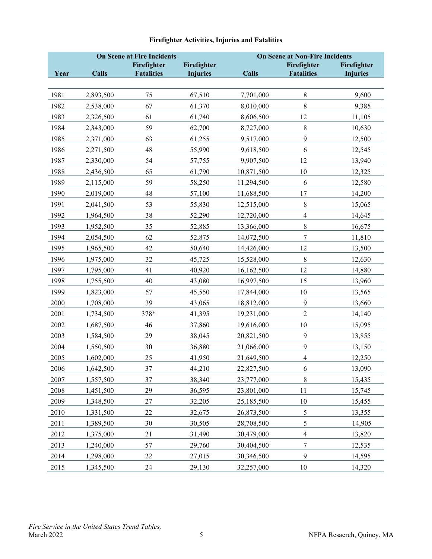<span id="page-6-0"></span>

|      |              | <b>On Scene at Fire Incidents</b> |                 | <b>On Scene at Non-Fire Incidents</b> |                         |                 |  |
|------|--------------|-----------------------------------|-----------------|---------------------------------------|-------------------------|-----------------|--|
|      |              | Firefighter                       | Firefighter     |                                       | Firefighter             | Firefighter     |  |
| Year | <b>Calls</b> | <b>Fatalities</b>                 | <b>Injuries</b> | Calls                                 | <b>Fatalities</b>       | <b>Injuries</b> |  |
|      |              |                                   |                 |                                       |                         |                 |  |
| 1981 | 2,893,500    | 75                                | 67,510          | 7,701,000                             | 8                       | 9,600           |  |
| 1982 | 2,538,000    | 67                                | 61,370          | 8,010,000                             | 8                       | 9,385           |  |
| 1983 | 2,326,500    | 61                                | 61,740          | 8,606,500                             | 12                      | 11,105          |  |
| 1984 | 2,343,000    | 59                                | 62,700          | 8,727,000                             | 8                       | 10,630          |  |
| 1985 | 2,371,000    | 63                                | 61,255          | 9,517,000                             | 9                       | 12,500          |  |
| 1986 | 2,271,500    | 48                                | 55,990          | 9,618,500                             | 6                       | 12,545          |  |
| 1987 | 2,330,000    | 54                                | 57,755          | 9,907,500                             | 12                      | 13,940          |  |
| 1988 | 2,436,500    | 65                                | 61,790          | 10,871,500                            | $10\,$                  | 12,325          |  |
| 1989 | 2,115,000    | 59                                | 58,250          | 11,294,500                            | 6                       | 12,580          |  |
| 1990 | 2,019,000    | 48                                | 57,100          | 11,688,500                            | 17                      | 14,200          |  |
| 1991 | 2,041,500    | 53                                | 55,830          | 12,515,000                            | 8                       | 15,065          |  |
| 1992 | 1,964,500    | 38                                | 52,290          | 12,720,000                            | $\overline{\mathbf{4}}$ | 14,645          |  |
| 1993 | 1,952,500    | 35                                | 52,885          | 13,366,000                            | $8\,$                   | 16,675          |  |
| 1994 | 2,054,500    | 62                                | 52,875          | 14,072,500                            | 7                       | 11,810          |  |
| 1995 | 1,965,500    | 42                                | 50,640          | 14,426,000                            | 12                      | 13,500          |  |
| 1996 | 1,975,000    | 32                                | 45,725          | 15,528,000                            | 8                       | 12,630          |  |
| 1997 | 1,795,000    | 41                                | 40,920          | 16,162,500                            | 12                      | 14,880          |  |
| 1998 | 1,755,500    | 40                                | 43,080          | 16,997,500                            | 15                      | 13,960          |  |
| 1999 | 1,823,000    | 57                                | 45,550          | 17,844,000                            | 10                      | 13,565          |  |
| 2000 | 1,708,000    | 39                                | 43,065          | 18,812,000                            | 9                       | 13,660          |  |
| 2001 | 1,734,500    | 378*                              | 41,395          | 19,231,000                            | $\overline{c}$          | 14,140          |  |
| 2002 | 1,687,500    | 46                                | 37,860          | 19,616,000                            | $10\,$                  | 15,095          |  |
| 2003 | 1,584,500    | 29                                | 38,045          | 20,821,500                            | 9                       | 13,855          |  |
| 2004 | 1,550,500    | 30                                | 36,880          | 21,066,000                            | 9                       | 13,150          |  |
| 2005 | 1,602,000    | 25                                | 41,950          | 21,649,500                            | $\overline{\mathbf{4}}$ | 12,250          |  |
| 2006 | 1,642,500    | 37                                | 44,210          | 22,827,500                            | 6                       | 13,090          |  |
| 2007 | 1,557,500    | 37                                | 38,340          | 23,777,000                            | 8                       | 15,435          |  |
| 2008 | 1,451,500    | 29                                | 36,595          | 23,801,000                            | 11                      | 15,745          |  |
| 2009 | 1,348,500    | 27                                | 32,205          | 25,185,500                            | $10\,$                  | 15,455          |  |
| 2010 | 1,331,500    | 22                                | 32,675          | 26,873,500                            | 5                       | 13,355          |  |
| 2011 | 1,389,500    | 30                                | 30,505          | 28,708,500                            | 5                       | 14,905          |  |
| 2012 | 1,375,000    | 21                                | 31,490          | 30,479,000                            | $\overline{4}$          | 13,820          |  |
| 2013 | 1,240,000    | 57                                | 29,760          | 30,404,500                            | $\overline{7}$          | 12,535          |  |
| 2014 | 1,298,000    | 22                                | 27,015          | 30,346,500                            | 9                       | 14,595          |  |
| 2015 | 1,345,500    | 24                                | 29,130          | 32,257,000                            | $10\,$                  | 14,320          |  |

# **Firefighter Activities, Injuries and Fatalities**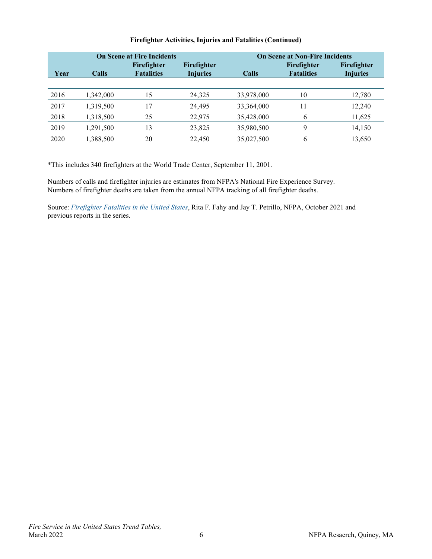|      |           | <b>On Scene at Fire Incidents</b> | <b>On Scene at Non-Fire Incidents</b> |            |                   |                 |  |
|------|-----------|-----------------------------------|---------------------------------------|------------|-------------------|-----------------|--|
|      |           | Firefighter                       | Firefighter                           |            | Firefighter       | Firefighter     |  |
| Year | Calls     | <b>Fatalities</b>                 | <b>Injuries</b>                       | Calls      | <b>Fatalities</b> | <b>Injuries</b> |  |
|      |           |                                   |                                       |            |                   |                 |  |
| 2016 | 1,342,000 | 15                                | 24,325                                | 33,978,000 | 10                | 12,780          |  |
| 2017 | 1,319,500 | 17                                | 24,495                                | 33,364,000 |                   | 12,240          |  |
| 2018 | 1,318,500 | 25                                | 22,975                                | 35,428,000 | 6                 | 11,625          |  |
| 2019 | 1,291,500 | 13                                | 23,825                                | 35,980,500 | q                 | 14,150          |  |
| 2020 | 1,388,500 | 20                                | 22,450                                | 35,027,500 | 6                 | 13,650          |  |

## **Firefighter Activities, Injuries and Fatalities (Continued)**

\*This includes 340 firefighters at the World Trade Center, September 11, 2001.

Numbers of calls and firefighter injuries are estimates from NFPA's National Fire Experience Survey. Numbers of firefighter deaths are taken from the annual NFPA tracking of all firefighter deaths.

Source: *[Firefighter Fatalities in the United States](http://www.nfpa.org/research/statistical-reports/fire-service-statistics/firefighter-fatalities-in-the-united-states)*, Rita F. Fahy and Jay T. Petrillo, NFPA, October 2021 and previous reports in the series.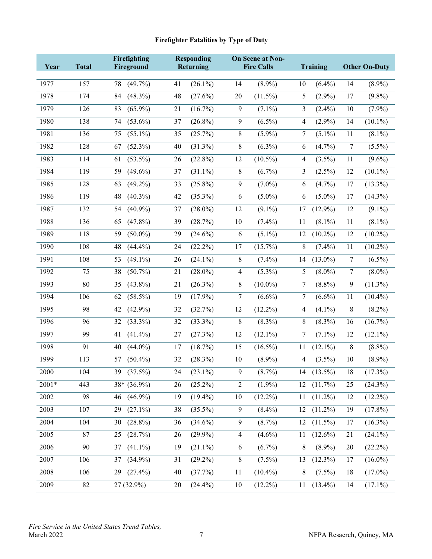# **Firefighter Fatalities by Type of Duty**

<span id="page-8-0"></span>

|       |              | Firefighting     |    | <b>Responding</b> |            | <b>On Scene at Non-</b> |                  |            |                |                      |
|-------|--------------|------------------|----|-------------------|------------|-------------------------|------------------|------------|----------------|----------------------|
| Year  | <b>Total</b> | Fireground       |    | Returning         |            | <b>Fire Calls</b>       |                  | Training   |                | <b>Other On-Duty</b> |
| 1977  | 157          | $(49.7\%)$<br>78 | 41 | $(26.1\%)$        | 14         | $(8.9\%)$               | 10               | $(6.4\%)$  | 14             | $(8.9\%)$            |
| 1978  | 174          | $(48.3\%)$<br>84 | 48 | $(27.6\%)$        | 20         | $(11.5\%)$              | 5                | $(2.9\%)$  | 17             | $(9.8\%)$            |
| 1979  | 126          | $(65.9\%)$<br>83 | 21 | $(16.7\%)$        | 9          | $(7.1\%)$               | 3                | $(2.4\%)$  | 10             | $(7.9\%)$            |
| 1980  | 138          | $(53.6\%)$<br>74 | 37 | $(26.8\%)$        | 9          | $(6.5\%)$               | 4                | $(2.9\%)$  | 14             | $(10.1\%)$           |
| 1981  | 136          | $(55.1\%)$<br>75 | 35 | (25.7%)           | 8          | $(5.9\%)$               | 7                | $(5.1\%)$  | 11             | $(8.1\%)$            |
| 1982  | 128          | $(52.3\%)$<br>67 | 40 | $(31.3\%)$        | 8          | $(6.3\%)$               | 6                | $(4.7\%)$  | $\tau$         | $(5.5\%)$            |
| 1983  | 114          | $(53.5\%)$<br>61 | 26 | $(22.8\%)$        | 12         | $(10.5\%)$              | 4                | $(3.5\%)$  | 11             | $(9.6\%)$            |
| 1984  | 119          | 59<br>$(49.6\%)$ | 37 | $(31.1\%)$        | 8          | $(6.7\%)$               | 3                | $(2.5\%)$  | 12             | $(10.1\%)$           |
| 1985  | 128          | 63<br>$(49.2\%)$ | 33 | $(25.8\%)$        | 9          | $(7.0\%)$               | 6                | $(4.7\%)$  | 17             | $(13.3\%)$           |
| 1986  | 119          | 48<br>$(40.3\%)$ | 42 | $(35.3\%)$        | 6          | $(5.0\%)$               | 6                | $(5.0\%)$  | 17             | $(14.3\%)$           |
| 1987  | 132          | $(40.9\%)$<br>54 | 37 | $(28.0\%)$        | 12         | $(9.1\%)$               | 17               | $(12.9\%)$ | 12             | $(9.1\%)$            |
| 1988  | 136          | $(47.8\%)$<br>65 | 39 | (28.7%)           | 10         | $(7.4\%)$               | 11               | $(8.1\%)$  | 11             | $(8.1\%)$            |
| 1989  | 118          | 59<br>$(50.0\%)$ | 29 | $(24.6\%)$        | 6          | $(5.1\%)$               | 12               | $(10.2\%)$ | 12             | $(10.2\%)$           |
| 1990  | 108          | 48<br>$(44.4\%)$ | 24 | $(22.2\%)$        | 17         | $(15.7\%)$              | $\,$ 8 $\,$      | $(7.4\%)$  | 11             | $(10.2\%)$           |
| 1991  | 108          | 53<br>$(49.1\%)$ | 26 | $(24.1\%)$        | $8\,$      | $(7.4\%)$               | 14               | $(13.0\%)$ | $\tau$         | $(6.5\%)$            |
| 1992  | 75           | 38<br>$(50.7\%)$ | 21 | $(28.0\%)$        | 4          | $(5.3\%)$               | 5                | $(8.0\%)$  | $\overline{7}$ | $(8.0\%)$            |
| 1993  | 80           | $(43.8\%)$<br>35 | 21 | $(26.3\%)$        | 8          | $(10.0\%)$              | $\boldsymbol{7}$ | $(8.8\%)$  | 9              | $(11.3\%)$           |
| 1994  | 106          | $(58.5\%)$<br>62 | 19 | $(17.9\%)$        | 7          | $(6.6\%)$               | 7                | $(6.6\%)$  | 11             | $(10.4\%)$           |
| 1995  | 98           | $(42.9\%)$<br>42 | 32 | (32.7%)           | 12         | $(12.2\%)$              | 4                | $(4.1\%)$  | 8              | $(8.2\%)$            |
| 1996  | 96           | 32<br>$(33.3\%)$ | 32 | $(33.3\%)$        | 8          | $(8.3\%)$               | $8\,$            | $(8.3\%)$  | 16             | $(16.7\%)$           |
| 1997  | 99           | 41<br>$(41.4\%)$ | 27 | (27.3%)           | 12         | $(12.1\%)$              | 7                | $(7.1\%)$  | 12             | $(12.1\%)$           |
| 1998  | 91           | 40<br>$(44.0\%)$ | 17 | (18.7%)           | 15         | $(16.5\%)$              | 11               | $(12.1\%)$ | $\,8\,$        | $(8.8\%)$            |
| 1999  | 113          | 57<br>$(50.4\%)$ | 32 | (28.3%)           | 10         | $(8.9\%)$               | 4                | $(3.5\%)$  | 10             | $(8.9\%)$            |
| 2000  | 104          | 39 (37.5%)       | 24 | $(23.1\%)$        | 9          | (8.7%)                  |                  | 14 (13.5%) | 18             | (17.3%)              |
| 2001* | 443          | 38* (36.9%)      | 26 | $(25.2\%)$        | $\sqrt{2}$ | $(1.9\%)$               | 12               | $(11.7\%)$ | 25             | $(24.3\%)$           |
| 2002  | 98           | $(46.9\%)$<br>46 | 19 | $(19.4\%)$        | $10\,$     | $(12.2\%)$              | 11               | $(11.2\%)$ | 12             | $(12.2\%)$           |
| 2003  | 107          | $(27.1\%)$<br>29 | 38 | $(35.5\%)$        | 9          | $(8.4\%)$               | 12               | $(11.2\%)$ | 19             | $(17.8\%)$           |
| 2004  | 104          | $(28.8\%)$<br>30 | 36 | $(34.6\%)$        | 9          | $(8.7\%)$               | 12               | $(11.5\%)$ | 17             | $(16.3\%)$           |
| 2005  | 87           | (28.7%)<br>25    | 26 | $(29.9\%)$        | 4          | $(4.6\%)$               | 11               | $(12.6\%)$ | 21             | $(24.1\%)$           |
| 2006  | 90           | $(41.1\%)$<br>37 | 19 | $(21.1\%)$        | 6          | $(6.7\%)$               | 8                | $(8.9\%)$  | 20             | $(22.2\%)$           |
| 2007  | 106          | $(34.9\%)$<br>37 | 31 | $(29.2\%)$        | 8          | $(7.5\%)$               | 13               | $(12.3\%)$ | 17             | $(16.0\%)$           |
| 2008  | 106          | $(27.4\%)$<br>29 | 40 | (37.7%)           | 11         | $(10.4\%)$              | 8                | $(7.5\%)$  | 18             | $(17.0\%)$           |
| 2009  | 82           | 27 (32.9%)       | 20 | $(24.4\%)$        | 10         | $(12.2\%)$              | 11               | $(13.4\%)$ | 14             | $(17.1\%)$           |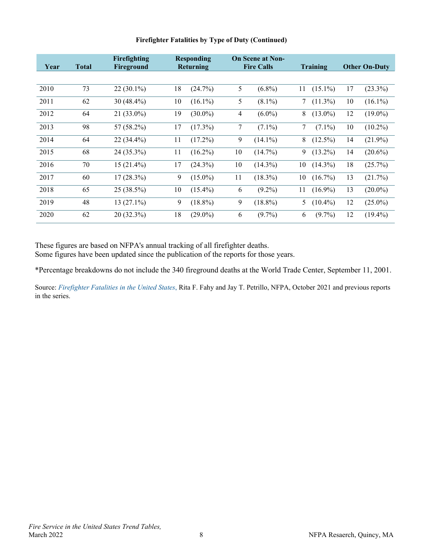| Year | <b>Total</b> | Firefighting<br>Fireground |    | <b>Responding</b><br>Returning |    | <b>On Scene at Non-</b><br><b>Fire Calls</b> |    | <b>Training</b> |    | <b>Other On-Duty</b> |
|------|--------------|----------------------------|----|--------------------------------|----|----------------------------------------------|----|-----------------|----|----------------------|
|      |              |                            |    |                                |    |                                              |    |                 |    |                      |
| 2010 | 73           | $22(30.1\%)$               | 18 | (24.7%)                        | 5  | $(6.8\%)$                                    | 11 | $(15.1\%)$      | 17 | $(23.3\%)$           |
| 2011 | 62           | 30 (48.4%)                 | 10 | $(16.1\%)$                     | 5  | $(8.1\%)$                                    | 7  | $(11.3\%)$      | 10 | $(16.1\%)$           |
| 2012 | 64           | 21 (33.0%)                 | 19 | $(30.0\%)$                     | 4  | $(6.0\%)$                                    | 8  | $(13.0\%)$      | 12 | $(19.0\%)$           |
| 2013 | 98           | 57 (58.2%)                 | 17 | $(17.3\%)$                     | 7  | $(7.1\%)$                                    | 7  | $(7.1\%)$       | 10 | $(10.2\%)$           |
| 2014 | 64           | $22(34.4\%)$               | 11 | $(17.2\%)$                     | 9  | $(14.1\%)$                                   | 8  | $(12.5\%)$      | 14 | $(21.9\%)$           |
| 2015 | 68           | 24 (35.3%)                 | 11 | $(16.2\%)$                     | 10 | $(14.7\%)$                                   | 9  | $(13.2\%)$      | 14 | $(20.6\%)$           |
| 2016 | 70           | $15(21.4\%)$               | 17 | $(24.3\%)$                     | 10 | $(14.3\%)$                                   | 10 | $(14.3\%)$      | 18 | (25.7%)              |
| 2017 | 60           | $17(28.3\%)$               | 9  | $(15.0\%)$                     | 11 | $(18.3\%)$                                   | 10 | $(16.7\%)$      | 13 | (21.7%)              |
| 2018 | 65           | 25 (38.5%)                 | 10 | $(15.4\%)$                     | 6  | $(9.2\%)$                                    | 11 | $(16.9\%)$      | 13 | $(20.0\%)$           |
| 2019 | 48           | $13(27.1\%)$               | 9  | $(18.8\%)$                     | 9  | $(18.8\%)$                                   | 5  | $(10.4\%)$      | 12 | $(25.0\%)$           |
| 2020 | 62           | 20 (32.3%)                 | 18 | $(29.0\%)$                     | 6  | $(9.7\%)$                                    | 6  | $(9.7\%)$       | 12 | $(19.4\%)$           |

## **Firefighter Fatalities by Type of Duty (Continued)**

These figures are based on NFPA's annual tracking of all firefighter deaths.

Some figures have been updated since the publication of the reports for those years.

\*Percentage breakdowns do not include the 340 fireground deaths at the World Trade Center, September 11, 2001.

Source: *[Firefighter Fatalities in the United States](http://www.nfpa.org/research/statistical-reports/fire-service-statistics/firefighter-fatalities-in-the-united-states)*, Rita F. Fahy and Jay T. Petrillo, NFPA, October 2021 and previous reports in the series.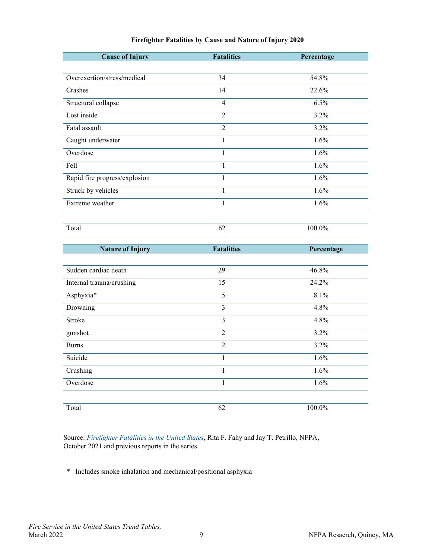<span id="page-10-0"></span>

| <b>Cause of Injury</b>        | <b>Fatalities</b> | Percentage |
|-------------------------------|-------------------|------------|
|                               |                   |            |
| Overexertion/stress/medical   | 34                | 54.8%      |
| Crashes                       | 14                | 22.6%      |
| Structural collapse           | 4                 | 6.5%       |
| Lost inside                   | $\overline{2}$    | 3.2%       |
| Fatal assault                 | $\overline{2}$    | 3.2%       |
| Caught underwater             | $\mathbf{1}$      | 1.6%       |
| Overdose                      | $\mathbf{1}$      | 1.6%       |
| Fell                          | $\mathbf{1}$      | 1.6%       |
| Rapid fire progress/explosion | $\mathbf{1}$      | 1.6%       |
| Struck by vehicles            | $\mathbf{1}$      | 1.6%       |
| Extreme weather               | $\mathbf{1}$      | 1.6%       |
|                               |                   |            |
| Total                         | 62                | $100.0\%$  |
|                               |                   |            |
|                               |                   |            |
| <b>Nature of Injury</b>       | <b>Fatalities</b> | Percentage |
|                               |                   |            |
| Sudden cardiac death          | $\overline{29}$   | 46.8%      |
| Internal trauma/crushing      | 15                | 24.2%      |
| Asphyxia*                     | $\overline{5}$    | 8.1%       |
| Drowning                      | $\overline{3}$    | 4.8%       |
| Stroke                        | $\overline{3}$    | 4.8%       |
| gunshot                       | $\overline{2}$    | 3.2%       |
| <b>Burns</b>                  | $\overline{2}$    | $3.2\%$    |
| Suicide                       | $\mathbf{1}$      | 1.6%       |
| Crushing                      | $\mathbf{1}$      | 1.6%       |
| Overdose                      | $\mathbf{1}$      | 1.6%       |
|                               |                   |            |

### **Firefighter Fatalities by Cause and Nature of Injury 2020**

Source: *[Firefighter Fatalities in the United States](http://www.nfpa.org/research/statistical-reports/fire-service-statistics/firefighter-fatalities-in-the-united-states)*, Rita F. Fahy and Jay T. Petrillo, NFPA, October 2021 and previous reports in the series.

\* Includes smoke inhalation and mechanical/positional asphyxia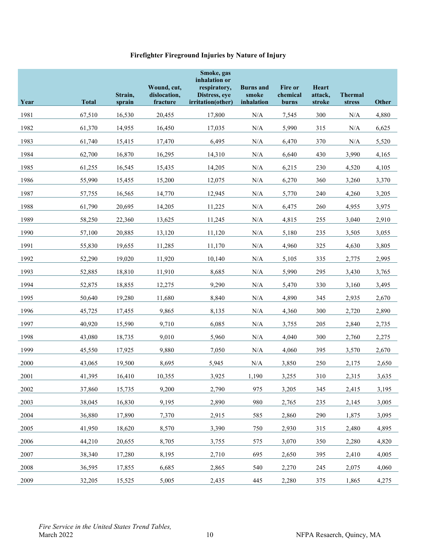## **Firefighter Fireground Injuries by Nature of Injury**

<span id="page-11-0"></span>

| Year | <b>Total</b> | Strain,<br>sprain | Wound, cut,<br>dislocation,<br>fracture | Smoke, gas<br>inhalation or<br>respiratory,<br>Distress, eye<br>irritation(other) | <b>Burns</b> and<br>smoke<br>inhalation | <b>Fire or</b><br>chemical<br>burns | <b>Heart</b><br>attack,<br>stroke | <b>Thermal</b><br>stress | <b>Other</b> |
|------|--------------|-------------------|-----------------------------------------|-----------------------------------------------------------------------------------|-----------------------------------------|-------------------------------------|-----------------------------------|--------------------------|--------------|
| 1981 | 67,510       | 16,530            | 20,455                                  | 17,800                                                                            | $\rm N/A$                               | 7,545                               | 300                               | N/A                      | 4,880        |
| 1982 | 61,370       | 14,955            | 16,450                                  | 17,035                                                                            | $\rm N/A$                               | 5,990                               | 315                               | $\rm N/A$                | 6,625        |
| 1983 | 61,740       | 15,415            | 17,470                                  | 6,495                                                                             | $\rm N/A$                               | 6,470                               | 370                               | $\rm N/A$                | 5,520        |
| 1984 | 62,700       | 16,870            | 16,295                                  | 14,310                                                                            | N/A                                     | 6,640                               | 430                               | 3,990                    | 4,165        |
| 1985 | 61,255       | 16,545            | 15,435                                  | 14,205                                                                            | $\rm N/A$                               | 6,215                               | 230                               | 4,520                    | 4,105        |
| 1986 | 55,990       | 15,455            | 15,200                                  | 12,075                                                                            | $\rm N/A$                               | 6,270                               | 360                               | 3,260                    | 3,370        |
| 1987 | 57,755       | 16,565            | 14,770                                  | 12,945                                                                            | $\rm N/A$                               | 5,770                               | 240                               | 4,260                    | 3,205        |
| 1988 | 61,790       | 20,695            | 14,205                                  | 11,225                                                                            | $\rm N/A$                               | 6,475                               | 260                               | 4,955                    | 3,975        |
| 1989 | 58,250       | 22,360            | 13,625                                  | 11,245                                                                            | $\rm N/A$                               | 4,815                               | 255                               | 3,040                    | 2,910        |
| 1990 | 57,100       | 20,885            | 13,120                                  | 11,120                                                                            | N/A                                     | 5,180                               | 235                               | 3,505                    | 3,055        |
| 1991 | 55,830       | 19,655            | 11,285                                  | 11,170                                                                            | $\rm N/A$                               | 4,960                               | 325                               | 4,630                    | 3,805        |
| 1992 | 52,290       | 19,020            | 11,920                                  | 10,140                                                                            | $\rm N/A$                               | 5,105                               | 335                               | 2,775                    | 2,995        |
| 1993 | 52,885       | 18,810            | 11,910                                  | 8,685                                                                             | N/A                                     | 5,990                               | 295                               | 3,430                    | 3,765        |
| 1994 | 52,875       | 18,855            | 12,275                                  | 9,290                                                                             | $\rm N/A$                               | 5,470                               | 330                               | 3,160                    | 3,495        |
| 1995 | 50,640       | 19,280            | 11,680                                  | 8,840                                                                             | $\rm N/A$                               | 4,890                               | 345                               | 2,935                    | 2,670        |
| 1996 | 45,725       | 17,455            | 9,865                                   | 8,135                                                                             | $\rm N/A$                               | 4,360                               | 300                               | 2,720                    | 2,890        |
| 1997 | 40,920       | 15,590            | 9,710                                   | 6,085                                                                             | $\rm N/A$                               | 3,755                               | 205                               | 2,840                    | 2,735        |
| 1998 | 43,080       | 18,735            | 9,010                                   | 5,960                                                                             | $\rm N/A$                               | 4,040                               | 300                               | 2,760                    | 2,275        |
| 1999 | 45,550       | 17,925            | 9,880                                   | 7,050                                                                             | $\rm N/A$                               | 4,060                               | 395                               | 3,570                    | 2,670        |
| 2000 | 43,065       | 19,500            | 8,695                                   | 5,945                                                                             | N/A                                     | 3,850                               | 250                               | 2,175                    | 2,650        |
| 2001 | 41,395       | 16,410            | 10,355                                  | 3,925                                                                             | 1,190                                   | 3,255                               | 310                               | 2,315                    | 3,635        |
| 2002 | 37,860       | 15,735            | 9,200                                   | 2,790                                                                             | 975                                     | 3,205                               | 345                               | 2,415                    | 3,195        |
| 2003 | 38,045       | 16,830            | 9,195                                   | 2,890                                                                             | 980                                     | 2,765                               | 235                               | 2,145                    | 3,005        |
| 2004 | 36,880       | 17,890            | 7,370                                   | 2,915                                                                             | 585                                     | 2,860                               | 290                               | 1,875                    | 3,095        |
| 2005 | 41,950       | 18,620            | 8,570                                   | 3,390                                                                             | 750                                     | 2,930                               | 315                               | 2,480                    | 4,895        |
| 2006 | 44,210       | 20,655            | 8,705                                   | 3,755                                                                             | 575                                     | 3,070                               | 350                               | 2,280                    | 4,820        |
| 2007 | 38,340       | 17,280            | 8,195                                   | 2,710                                                                             | 695                                     | 2,650                               | 395                               | 2,410                    | 4,005        |
| 2008 | 36,595       | 17,855            | 6,685                                   | 2,865                                                                             | 540                                     | 2,270                               | 245                               | 2,075                    | 4,060        |
| 2009 | 32,205       | 15,525            | 5,005                                   | 2,435                                                                             | 445                                     | 2,280                               | 375                               | 1,865                    | 4,275        |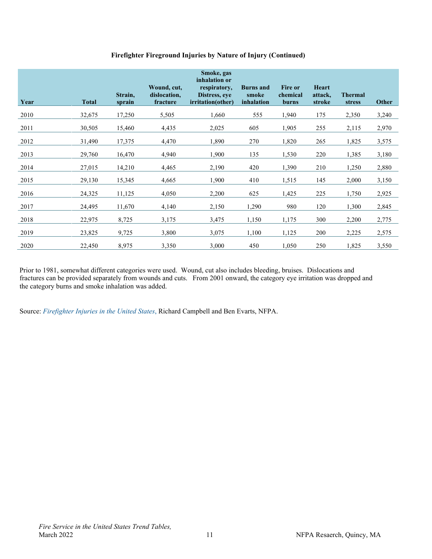| Firefighter Fireground Injuries by Nature of Injury (Continued) |  |  |
|-----------------------------------------------------------------|--|--|
|                                                                 |  |  |
|                                                                 |  |  |
|                                                                 |  |  |

| Year | <b>Total</b> | Strain,<br>sprain | Wound, cut,<br>dislocation,<br>fracture | Smoke, gas<br>inhalation or<br>respiratory,<br>Distress, eye<br><i>irritation(other)</i> | <b>Burns</b> and<br>smoke<br>inhalation | <b>Fire or</b><br>chemical<br>burns | <b>Heart</b><br>attack,<br>stroke | <b>Thermal</b><br>stress | Other |
|------|--------------|-------------------|-----------------------------------------|------------------------------------------------------------------------------------------|-----------------------------------------|-------------------------------------|-----------------------------------|--------------------------|-------|
| 2010 | 32,675       | 17,250            | 5,505                                   | 1,660                                                                                    | 555                                     | 1,940                               | 175                               | 2,350                    | 3,240 |
| 2011 | 30,505       | 15,460            | 4,435                                   | 2,025                                                                                    | 605                                     | 1,905                               | 255                               | 2,115                    | 2,970 |
| 2012 | 31,490       | 17,375            | 4,470                                   | 1,890                                                                                    | 270                                     | 1,820                               | 265                               | 1,825                    | 3,575 |
| 2013 | 29,760       | 16,470            | 4,940                                   | 1,900                                                                                    | 135                                     | 1,530                               | 220                               | 1,385                    | 3,180 |
| 2014 | 27,015       | 14,210            | 4,465                                   | 2,190                                                                                    | 420                                     | 1,390                               | 210                               | 1,250                    | 2,880 |
| 2015 | 29,130       | 15,345            | 4,665                                   | 1,900                                                                                    | 410                                     | 1,515                               | 145                               | 2,000                    | 3,150 |
| 2016 | 24,325       | 11,125            | 4,050                                   | 2,200                                                                                    | 625                                     | 1,425                               | 225                               | 1,750                    | 2,925 |
| 2017 | 24,495       | 11,670            | 4,140                                   | 2,150                                                                                    | 1,290                                   | 980                                 | 120                               | 1,300                    | 2,845 |
| 2018 | 22,975       | 8,725             | 3,175                                   | 3,475                                                                                    | 1,150                                   | 1,175                               | 300                               | 2,200                    | 2,775 |
| 2019 | 23,825       | 9,725             | 3,800                                   | 3,075                                                                                    | 1,100                                   | 1,125                               | 200                               | 2,225                    | 2,575 |
| 2020 | 22,450       | 8,975             | 3,350                                   | 3,000                                                                                    | 450                                     | 1,050                               | 250                               | 1,825                    | 3,550 |

Prior to 1981, somewhat different categories were used. Wound, cut also includes bleeding, bruises. Dislocations and fractures can be provided separately from wounds and cuts. From 2001 onward, the category eye irritation was dropped and the category burns and smoke inhalation was added.

Source: *[Firefighter Injuries in the United States](https://www.nfpa.org/News-and-Research/Data-research-and-tools/Emergency-Responders/Firefighter-injuries-in-the-United-States)*, Richard Campbell and Ben Evarts, NFPA.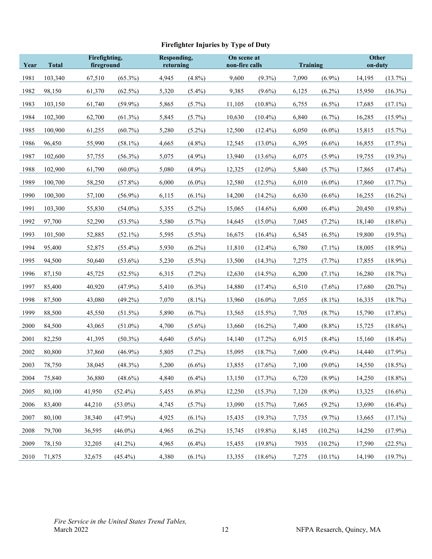# **Firefighter Injuries by Type of Duty**

<span id="page-13-0"></span>

| Year | <b>Total</b> | Firefighting,<br>fireground |            |       | Responding,<br>returning |        | On scene at<br>non-fire calls |       | <b>Training</b> |        | <b>Other</b><br>on-duty |  |
|------|--------------|-----------------------------|------------|-------|--------------------------|--------|-------------------------------|-------|-----------------|--------|-------------------------|--|
| 1981 | 103,340      | 67,510                      | $(65.3\%)$ | 4,945 | $(4.8\%)$                | 9,600  | $(9.3\%)$                     | 7,090 | $(6.9\%)$       | 14,195 | (13.7%)                 |  |
| 1982 | 98,150       | 61,370                      | $(62.5\%)$ | 5,320 | $(5.4\%)$                | 9,385  | $(9.6\%)$                     | 6,125 | $(6.2\%)$       | 15,950 | $(16.3\%)$              |  |
| 1983 | 103,150      | 61,740                      | $(59.9\%)$ | 5,865 | $(5.7\%)$                | 11,105 | $(10.8\%)$                    | 6,755 | $(6.5\%)$       | 17,685 | $(17.1\%)$              |  |
| 1984 | 102,300      | 62,700                      | $(61.3\%)$ | 5,845 | $(5.7\%)$                | 10,630 | $(10.4\%)$                    | 6,840 | $(6.7\%)$       | 16,285 | $(15.9\%)$              |  |
| 1985 | 100,900      | 61,255                      | $(60.7\%)$ | 5,280 | $(5.2\%)$                | 12,500 | $(12.4\%)$                    | 6,050 | $(6.0\%)$       | 15,815 | $(15.7\%)$              |  |
| 1986 | 96,450       | 55,990                      | $(58.1\%)$ | 4,665 | $(4.8\%)$                | 12,545 | $(13.0\%)$                    | 6,395 | $(6.6\%)$       | 16,855 | $(17.5\%)$              |  |
| 1987 | 102,600      | 57,755                      | $(56.3\%)$ | 5,075 | $(4.9\%)$                | 13,940 | $(13.6\%)$                    | 6,075 | $(5.9\%)$       | 19,755 | $(19.3\%)$              |  |
| 1988 | 102,900      | 61,790                      | $(60.0\%)$ | 5,080 | $(4.9\%)$                | 12,325 | $(12.0\%)$                    | 5,840 | $(5.7\%)$       | 17,865 | $(17.4\%)$              |  |
| 1989 | 100,700      | 58,250                      | $(57.8\%)$ | 6,000 | $(6.0\%)$                | 12,580 | $(12.5\%)$                    | 6,010 | $(6.0\%)$       | 17,860 | (17.7%)                 |  |
| 1990 | 100,300      | 57,100                      | $(56.9\%)$ | 6,115 | $(6.1\%)$                | 14,200 | $(14.2\%)$                    | 6,630 | $(6.6\%)$       | 16,255 | $(16.2\%)$              |  |
| 1991 | 103,300      | 55,830                      | $(54.0\%)$ | 5,355 | $(5.2\%)$                | 15,065 | $(14.6\%)$                    | 6,600 | $(6.4\%)$       | 20,450 | $(19.8\%)$              |  |
| 1992 | 97,700       | 52,290                      | $(53.5\%)$ | 5,580 | $(5.7\%)$                | 14,645 | $(15.0\%)$                    | 7,045 | $(7.2\%)$       | 18,140 | $(18.6\%)$              |  |
| 1993 | 101,500      | 52,885                      | $(52.1\%)$ | 5,595 | $(5.5\%)$                | 16,675 | $(16.4\%)$                    | 6,545 | $(6.5\%)$       | 19,800 | $(19.5\%)$              |  |
| 1994 | 95,400       | 52,875                      | $(55.4\%)$ | 5,930 | $(6.2\%)$                | 11,810 | $(12.4\%)$                    | 6,780 | $(7.1\%)$       | 18,005 | $(18.9\%)$              |  |
| 1995 | 94,500       | 50,640                      | $(53.6\%)$ | 5,230 | $(5.5\%)$                | 13,500 | $(14.3\%)$                    | 7,275 | $(7.7\%)$       | 17,855 | $(18.9\%)$              |  |
| 1996 | 87,150       | 45,725                      | $(52.5\%)$ | 6,315 | $(7.2\%)$                | 12,630 | $(14.5\%)$                    | 6,200 | $(7.1\%)$       | 16,280 | (18.7%)                 |  |
| 1997 | 85,400       | 40,920                      | $(47.9\%)$ | 5,410 | $(6.3\%)$                | 14,880 | $(17.4\%)$                    | 6,510 | $(7.6\%)$       | 17,680 | (20.7%)                 |  |
| 1998 | 87,500       | 43,080                      | $(49.2\%)$ | 7,070 | $(8.1\%)$                | 13,960 | $(16.0\%)$                    | 7,055 | $(8.1\%)$       | 16,335 | (18.7%)                 |  |
| 1999 | 88,500       | 45,550                      | $(51.5\%)$ | 5,890 | $(6.7\%)$                | 13,565 | $(15.5\%)$                    | 7,705 | $(8.7\%)$       | 15,790 | $(17.8\%)$              |  |
| 2000 | 84,500       | 43,065                      | $(51.0\%)$ | 4,700 | $(5.6\%)$                | 13,660 | $(16.2\%)$                    | 7,400 | $(8.8\%)$       | 15,725 | $(18.6\%)$              |  |
| 2001 | 82,250       | 41,395                      | $(50.3\%)$ | 4,640 | $(5.6\%)$                | 14,140 | $(17.2\%)$                    | 6,915 | $(8.4\%)$       | 15,160 | $(18.4\%)$              |  |
| 2002 | 80,800       | 37,860                      | $(46.9\%)$ | 5,805 | $(7.2\%)$                | 15,095 | (18.7%)                       | 7,600 | $(9.4\%)$       | 14,440 | $(17.9\%)$              |  |
| 2003 | 78,750       | 38,045                      | (48.3%)    | 5,200 | $(6.6\%)$                | 13,855 | $(17.6\%)$                    | 7,100 | $(9.0\%)$       | 14,550 | $(18.5\%)$              |  |
| 2004 | 75,840       | 36,880                      | $(48.6\%)$ | 4,840 | $(6.4\%)$                | 13,150 | (17.3%)                       | 6,720 | $(8.9\%)$       | 14,250 | $(18.8\%)$              |  |
| 2005 | 80,100       | 41,950                      | $(52.4\%)$ | 5,455 | $(6.8\%)$                | 12,250 | $(15.3\%)$                    | 7,120 | $(8.9\%)$       | 13,325 | $(16.6\%)$              |  |
| 2006 | 83,400       | 44,210                      | $(53.0\%)$ | 4,745 | $(5.7\%)$                | 13,090 | $(15.7\%)$                    | 7,665 | $(9.2\%)$       | 13,690 | $(16.4\%)$              |  |
| 2007 | 80,100       | 38,340                      | $(47.9\%)$ | 4,925 | $(6.1\%)$                | 15,435 | $(19.3\%)$                    | 7,735 | $(9.7\%)$       | 13,665 | $(17.1\%)$              |  |
| 2008 | 79,700       | 36,595                      | $(46.0\%)$ | 4,965 | $(6.2\%)$                | 15,745 | $(19.8\%)$                    | 8,145 | $(10.2\%)$      | 14,250 | $(17.9\%)$              |  |
| 2009 | 78,150       | 32,205                      | $(41.2\%)$ | 4,965 | $(6.4\%)$                | 15,455 | $(19.8\%)$                    | 7935  | $(10.2\%)$      | 17,590 | $(22.5\%)$              |  |
| 2010 | 71,875       | 32,675                      | $(45.4\%)$ | 4,380 | $(6.1\%)$                | 13,355 | $(18.6\%)$                    | 7,275 | $(10.1\%)$      | 14,190 | (19.7%)                 |  |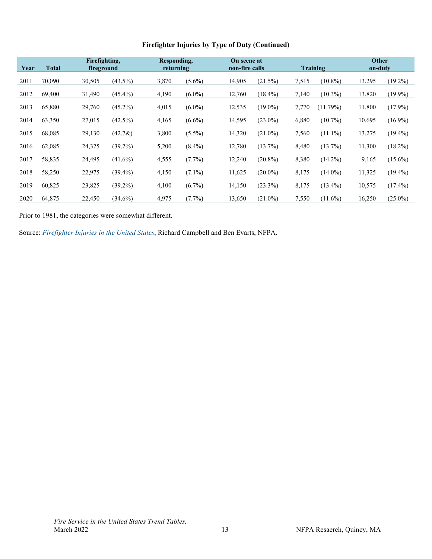| Firefighter Injuries by Type of Duty (Continued) |
|--------------------------------------------------|
|--------------------------------------------------|

| Year | <b>Total</b> | Firefighting,<br>fireground |            | Responding,<br>returning |           | On scene at<br>non-fire calls |            | Training |            | <b>Other</b><br>on-duty |            |
|------|--------------|-----------------------------|------------|--------------------------|-----------|-------------------------------|------------|----------|------------|-------------------------|------------|
| 2011 | 70,090       | 30,505                      | $(43.5\%)$ | 3,870                    | $(5.6\%)$ | 14,905                        | (21.5%)    | 7,515    | $(10.8\%)$ | 13,295                  | $(19.2\%)$ |
| 2012 | 69,400       | 31,490                      | $(45.4\%)$ | 4,190                    | $(6.0\%)$ | 12,760                        | $(18.4\%)$ | 7,140    | $(10.3\%)$ | 13,820                  | $(19.9\%)$ |
| 2013 | 65,880       | 29,760                      | $(45.2\%)$ | 4,015                    | $(6.0\%)$ | 12,535                        | $(19.0\%)$ | 7,770    | (11.79%)   | 11,800                  | $(17.9\%)$ |
| 2014 | 63,350       | 27,015                      | $(42.5\%)$ | 4,165                    | $(6.6\%)$ | 14,595                        | $(23.0\%)$ | 6,880    | $(10.7\%)$ | 10,695                  | $(16.9\%)$ |
| 2015 | 68,085       | 29,130                      | $(42.7\&)$ | 3,800                    | $(5.5\%)$ | 14,320                        | $(21.0\%)$ | 7,560    | $(11.1\%)$ | 13,275                  | $(19.4\%)$ |
| 2016 | 62,085       | 24,325                      | $(39.2\%)$ | 5,200                    | $(8.4\%)$ | 12,780                        | (13.7%)    | 8,480    | $(13.7\%)$ | 11,300                  | $(18.2\%)$ |
| 2017 | 58,835       | 24,495                      | $(41.6\%)$ | 4,555                    | $(7.7\%)$ | 12,240                        | $(20.8\%)$ | 8,380    | $(14.2\%)$ | 9,165                   | $(15.6\%)$ |
| 2018 | 58,250       | 22,975                      | $(39.4\%)$ | 4,150                    | $(7.1\%)$ | 11,625                        | $(20.0\%)$ | 8,175    | $(14.0\%)$ | 11,325                  | $(19.4\%)$ |
| 2019 | 60,825       | 23,825                      | $(39.2\%)$ | 4,100                    | $(6.7\%)$ | 14,150                        | $(23.3\%)$ | 8,175    | $(13.4\%)$ | 10,575                  | $(17.4\%)$ |
| 2020 | 64,875       | 22,450                      | $(34.6\%)$ | 4,975                    | $(7.7\%)$ | 13,650                        | $(21.0\%)$ | 7,550    | $(11.6\%)$ | 16,250                  | $(25.0\%)$ |

Prior to 1981, the categories were somewhat different.

Source: *[Firefighter Injuries in the United States](https://www.nfpa.org/News-and-Research/Data-research-and-tools/Emergency-Responders/Firefighter-injuries-in-the-United-States)*, Richard Campbell and Ben Evarts, NFPA.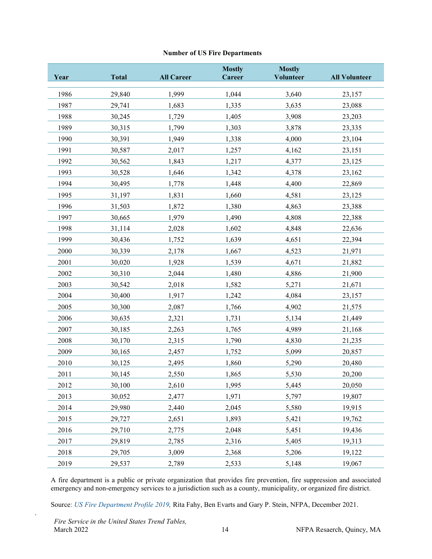#### **Number of US Fire Departments**

<span id="page-15-0"></span>

| Year | <b>Total</b> | <b>All Career</b> | <b>Mostly</b><br>Career | <b>Mostly</b><br><b>Volunteer</b> | <b>All Volunteer</b> |
|------|--------------|-------------------|-------------------------|-----------------------------------|----------------------|
| 1986 | 29,840       | 1,999             | 1,044                   | 3,640                             | 23,157               |
| 1987 | 29,741       | 1,683             | 1,335                   | 3,635                             | 23,088               |
| 1988 | 30,245       | 1,729             | 1,405                   | 3,908                             | 23,203               |
| 1989 | 30,315       | 1,799             | 1,303                   | 3,878                             | 23,335               |
| 1990 | 30,391       | 1,949             | 1,338                   | 4,000                             | 23,104               |
| 1991 | 30,587       | 2,017             | 1,257                   | 4,162                             | 23,151               |
| 1992 | 30,562       | 1,843             | 1,217                   | 4,377                             | 23,125               |
| 1993 | 30,528       | 1,646             | 1,342                   | 4,378                             | 23,162               |
| 1994 | 30,495       | 1,778             | 1,448                   | 4,400                             | 22,869               |
| 1995 | 31,197       | 1,831             | 1,660                   | 4,581                             | 23,125               |
| 1996 | 31,503       | 1,872             | 1,380                   | 4,863                             | 23,388               |
| 1997 | 30,665       | 1,979             | 1,490                   | 4,808                             | 22,388               |
| 1998 | 31,114       | 2,028             | 1,602                   | 4,848                             | 22,636               |
| 1999 | 30,436       | 1,752             | 1,639                   | 4,651                             | 22,394               |
| 2000 | 30,339       | 2,178             | 1,667                   | 4,523                             | 21,971               |
| 2001 | 30,020       | 1,928             | 1,539                   | 4,671                             | 21,882               |
| 2002 | 30,310       | 2,044             | 1,480                   | 4,886                             | 21,900               |
| 2003 | 30,542       | 2,018             | 1,582                   | 5,271                             | 21,671               |
| 2004 | 30,400       | 1,917             | 1,242                   | 4,084                             | 23,157               |
| 2005 | 30,300       | 2,087             | 1,766                   | 4,902                             | 21,575               |
| 2006 | 30,635       | 2,321             | 1,731                   | 5,134                             | 21,449               |
| 2007 | 30,185       | 2,263             | 1,765                   | 4,989                             | 21,168               |
| 2008 | 30,170       | 2,315             | 1,790                   | 4,830                             | 21,235               |
| 2009 | 30,165       | 2,457             | 1,752                   | 5,099                             | 20,857               |
| 2010 | 30,125       | 2,495             | 1,860                   | 5,290                             | 20,480               |
| 2011 | 30,145       | 2,550             | 1,865                   | 5,530                             | 20,200               |
| 2012 | 30,100       | 2,610             | 1,995                   | 5,445                             | 20,050               |
| 2013 | 30,052       | 2,477             | 1,971                   | 5,797                             | 19,807               |
| 2014 | 29,980       | 2,440             | 2,045                   | 5,580                             | 19,915               |
| 2015 | 29,727       | 2,651             | 1,893                   | 5,421                             | 19,762               |
| 2016 | 29,710       | 2,775             | 2,048                   | 5,451                             | 19,436               |
| 2017 | 29,819       | 2,785             | 2,316                   | 5,405                             | 19,313               |
| 2018 | 29,705       | 3,009             | 2,368                   | 5,206                             | 19,122               |
| 2019 | 29,537       | 2,789             | 2,533                   | 5,148                             | 19,067               |

A fire department is a public or private organization that provides fire prevention, fire suppression and associated emergency and non-emergency services to a jurisdiction such as a county, municipality, or organized fire district.

Source: *US Fire Department Profile 2019*, Rita Fahy, Ben Evarts and Gary P. Stein, NFPA, December 2021.

.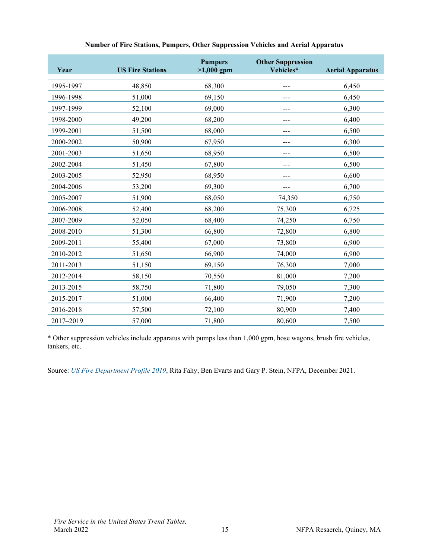<span id="page-16-0"></span>

| Year      | <b>US Fire Stations</b> | <b>Pumpers</b><br>$>1,000$ gpm | <b>Other Suppression</b><br>Vehicles* | <b>Aerial Apparatus</b> |
|-----------|-------------------------|--------------------------------|---------------------------------------|-------------------------|
| 1995-1997 | 48,850                  | 68,300                         |                                       | 6,450                   |
| 1996-1998 | 51,000                  | 69,150                         |                                       | 6,450                   |
| 1997-1999 | 52,100                  | 69,000                         |                                       | 6,300                   |
| 1998-2000 | 49,200                  | 68,200                         |                                       | 6,400                   |
| 1999-2001 | 51,500                  | 68,000                         |                                       | 6,500                   |
| 2000-2002 | 50,900                  | 67,950                         |                                       | 6,300                   |
| 2001-2003 | 51,650                  | 68,950                         |                                       | 6,500                   |
| 2002-2004 | 51,450                  | 67,800                         |                                       | 6,500                   |
| 2003-2005 | 52,950                  | 68,950                         |                                       | 6,600                   |
| 2004-2006 | 53,200                  | 69,300                         |                                       | 6,700                   |
| 2005-2007 | 51,900                  | 68,050                         | 74,350                                | 6,750                   |
| 2006-2008 | 52,400                  | 68,200                         | 75,300                                | 6,725                   |
| 2007-2009 | 52,050                  | 68,400                         | 74,250                                | 6,750                   |
| 2008-2010 | 51,300                  | 66,800                         | 72,800                                | 6,800                   |
| 2009-2011 | 55,400                  | 67,000                         | 73,800                                | 6,900                   |
| 2010-2012 | 51,650                  | 66,900                         | 74,000                                | 6,900                   |
| 2011-2013 | 51,150                  | 69,150                         | 76,300                                | 7,000                   |
| 2012-2014 | 58,150                  | 70,550                         | 81,000                                | 7,200                   |
| 2013-2015 | 58,750                  | 71,800                         | 79,050                                | 7,300                   |
| 2015-2017 | 51,000                  | 66,400                         | 71,900                                | 7,200                   |
| 2016-2018 | 57,500                  | 72,100                         | 80,900                                | 7,400                   |
| 2017-2019 | 57,000                  | 71,800                         | 80,600                                | 7,500                   |

#### **Number of Fire Stations, Pumpers, Other Suppression Vehicles and Aerial Apparatus**

\* Other suppression vehicles include apparatus with pumps less than 1,000 gpm, hose wagons, brush fire vehicles, tankers, etc.

Source: *[US Fire Department Profile 2019](https://www.nfpa.org/News-and-Research/Data-research-and-tools/Emergency-Responders/US-fire-department-profile)*, Rita Fahy, Ben Evarts and Gary P. Stein, NFPA, December 2021.